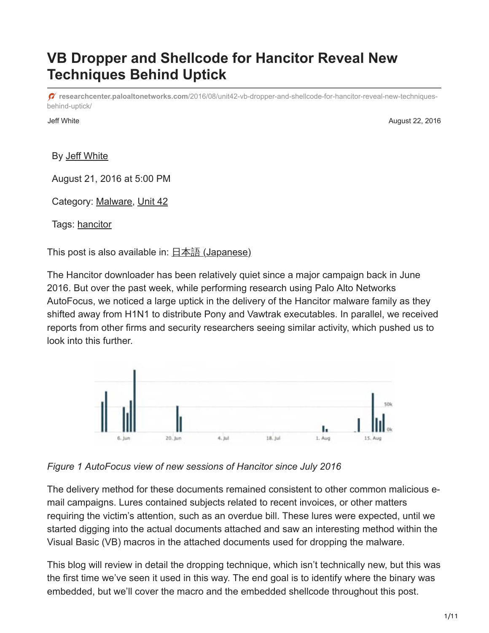# **VB Dropper and Shellcode for Hancitor Reveal New Techniques Behind Uptick**

**researchcenter.paloaltonetworks.com**[/2016/08/unit42-vb-dropper-and-shellcode-for-hancitor-reveal-new-techniques](https://researchcenter.paloaltonetworks.com/2016/08/unit42-vb-dropper-and-shellcode-for-hancitor-reveal-new-techniques-behind-uptick/)behind-uptick/

Jeff White August 22, 2016

By [Jeff White](https://unit42.paloaltonetworks.com/author/jeff-white/)

August 21, 2016 at 5:00 PM

Category: [Malware,](https://unit42.paloaltonetworks.com/category/malware-2/) [Unit 42](https://unit42.paloaltonetworks.com/category/unit42/)

Tags: [hancitor](https://unit42.paloaltonetworks.com/tag/hancitor/)

This post is also available in: 日本語 [\(Japanese\)](https://unit42.paloaltonetworks.jp/unit42-vb-dropper-and-shellcode-for-hancitor-reveal-new-techniques-behind-uptick/)

The Hancitor downloader has been relatively quiet since a major campaign back in June 2016. But over the past week, while performing research using Palo Alto Networks AutoFocus, we noticed a large uptick in the delivery of the Hancitor malware family as they shifted away from H1N1 to distribute Pony and Vawtrak executables. In parallel, we received reports from other firms and security researchers seeing similar activity, which pushed us to look into this further.



*Figure 1 AutoFocus view of new sessions of Hancitor since July 2016*

The delivery method for these documents remained consistent to other common malicious email campaigns. Lures contained subjects related to recent invoices, or other matters requiring the victim's attention, such as an overdue bill. These lures were expected, until we started digging into the actual documents attached and saw an interesting method within the Visual Basic (VB) macros in the attached documents used for dropping the malware.

This blog will review in detail the dropping technique, which isn't technically new, but this was the first time we've seen it used in this way. The end goal is to identify where the binary was embedded, but we'll cover the macro and the embedded shellcode throughout this post.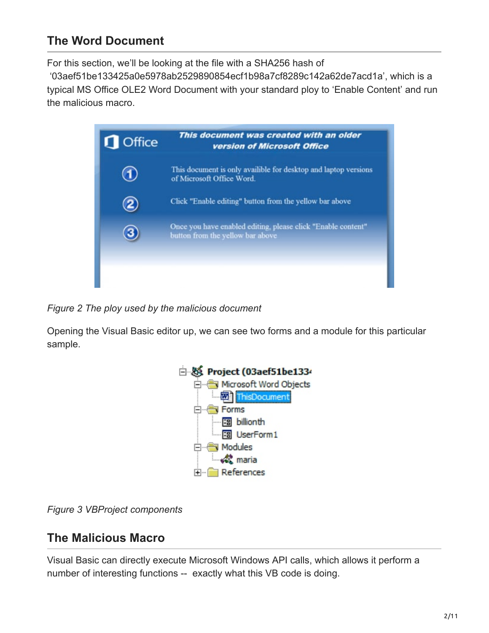## **The Word Document**

For this section, we'll be looking at the file with a SHA256 hash of

 '03aef51be133425a0e5978ab2529890854ecf1b98a7cf8289c142a62de7acd1a', which is a typical MS Office OLE2 Word Document with your standard ploy to 'Enable Content' and run the malicious macro.



*Figure 2 The ploy used by the malicious document*

Opening the Visual Basic editor up, we can see two forms and a module for this particular sample.



*Figure 3 VBProject components*

## **The Malicious Macro**

Visual Basic can directly execute Microsoft Windows API calls, which allows it perform a number of interesting functions -- exactly what this VB code is doing.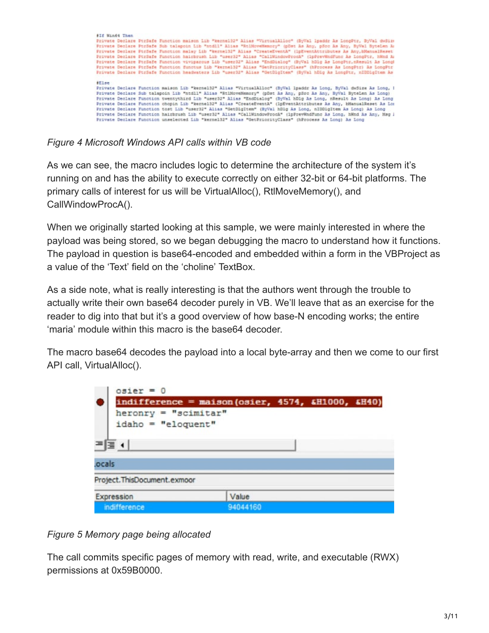| #If Win64 Then | Private Declare PtrSafe Function maison Lib "kerne192" Alias "VirtualAlloc" (ByVal Ipaddr As LongPtr, ByVal dwSize<br>Private Declare PtrSafe Sub talapoin Lib "ntdll" Alias "RtlHoveNemory" (pDst As Any, pSrc As Any, ByVal ByteLen A<br>Private Declare PtrSafe Function malay Lib "kernel32" Alias "CreateEventA" (1pEventAttributes As Any, bManualReset<br>Private Declare PtrSafe Function hairbrush Lib "user32" Alias "CallWindowProcA" (1pPrevWndFunc As LongPtr, hWnd A:<br>Private Declare PtrSafe Function viviparous Lib "user32" Alias "EndDialog" (ByVal hDlg As LongPtr, nResult As Long)<br>Private Declare PtrSafe Function functus Lib "kernel32" Alias "GetPriorityClass" (hProcess As LongPtr) As LongPtr<br>Private Declare PtrSafe Function headwaters Lib "user32" Alias "GetDlgItem" (ByVal hDlg As LongPtr, nIDDlgItem As |
|----------------|------------------------------------------------------------------------------------------------------------------------------------------------------------------------------------------------------------------------------------------------------------------------------------------------------------------------------------------------------------------------------------------------------------------------------------------------------------------------------------------------------------------------------------------------------------------------------------------------------------------------------------------------------------------------------------------------------------------------------------------------------------------------------------------------------------------------------------------------------|
| \$L1se         | Private Declare Function maison Lib "kernel32" Alias "VirtualAlloc" (ByVal lpaddr As Long, ByVal dwSize As Long, I                                                                                                                                                                                                                                                                                                                                                                                                                                                                                                                                                                                                                                                                                                                                   |
|                | Frivate Declare Sub talapoin Lib "ntdll" Alias "RtlMoveMemory" (pDst As Any, pSrc As Any, ByVal ByteLen As Long)<br>Private Declare Function twentythird Lib "user32" Alias "EndDialog" (ByVal hDlg As Long, nResult As Long) As Long<br>Private Declare Function chopin Lib "kernel32" Alias "CreateEventA" (lpEventAttributes As Any, bManualReset As Los                                                                                                                                                                                                                                                                                                                                                                                                                                                                                          |
|                | Frivate Declare Function tost Lib "user32" Alias "GetDlgItem" (ByVal hDlg As Long, nIDDlgItem As Long) As Long<br>Frivate Declare Function hairbrush Lib "user32" Alias "CallWindowFrocA" (1pFrevWndFunc As Long, hWnd As Any, Msg )<br>Private Declare Function unselected Lib "kernel32" Alias "GetPriorityClass" (hProcess As Long) As Long                                                                                                                                                                                                                                                                                                                                                                                                                                                                                                       |

*Figure 4 Microsoft Windows API calls within VB code*

As we can see, the macro includes logic to determine the architecture of the system it's running on and has the ability to execute correctly on either 32-bit or 64-bit platforms. The primary calls of interest for us will be VirtualAlloc(), RtlMoveMemory(), and CallWindowProcA().

When we originally started looking at this sample, we were mainly interested in where the payload was being stored, so we began debugging the macro to understand how it functions. The payload in question is base64-encoded and embedded within a form in the VBProject as a value of the 'Text' field on the 'choline' TextBox.

As a side note, what is really interesting is that the authors went through the trouble to actually write their own base64 decoder purely in VB. We'll leave that as an exercise for the reader to dig into that but it's a good overview of how base-N encoding works; the entire 'maria' module within this macro is the base64 decoder.

The macro base64 decodes the payload into a local byte-array and then we come to our first API call, VirtualAlloc().

| $osier = 0$                   |                                                    |  |  |
|-------------------------------|----------------------------------------------------|--|--|
|                               | $indifference = maison(osier, 4574, 4H1000, 4H40)$ |  |  |
| $h$ eronry = "scimitar"       |                                                    |  |  |
| $idaho = "eloquent"$          |                                                    |  |  |
| 트로 +                          |                                                    |  |  |
| ocals.                        |                                                    |  |  |
| Project. ThisDocument. exmoor |                                                    |  |  |
| Expression                    | Value                                              |  |  |
| indifference                  | 94044160                                           |  |  |

#### *Figure 5 Memory page being allocated*

The call commits specific pages of memory with read, write, and executable (RWX) permissions at 0x59B0000.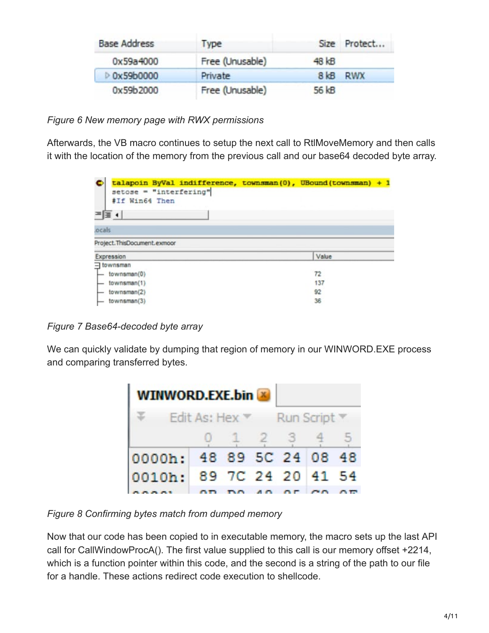| <b>Base Address</b> | Type            |        | Size Protect |
|---------------------|-----------------|--------|--------------|
| 0x59a4000           | Free (Unusable) | 48 kB  |              |
| D 0x59b0000         | Private         | $8$ kB | <b>RWX</b>   |
| 0x59b2000           | Free (Unusable) | 56 kB  |              |

*Figure 6 New memory page with RWX permissions*

Afterwards, the VB macro continues to setup the next call to RtlMoveMemory and then calls it with the location of the memory from the previous call and our base64 decoded byte array.

|                   | talapoin ByVal indifference, townsman(0), UBound(townsman) + 1<br>setose = "interfering" |       |  |
|-------------------|------------------------------------------------------------------------------------------|-------|--|
|                   | #If Win64 Then                                                                           |       |  |
| ≔ ≣ ∢             |                                                                                          |       |  |
| ocals             |                                                                                          |       |  |
|                   |                                                                                          |       |  |
|                   | Project.ThisDocument.exmoor                                                              |       |  |
| Expression        |                                                                                          | Value |  |
|                   |                                                                                          |       |  |
|                   | $\rightarrow$ townsman(0)                                                                | 72    |  |
|                   | townsman(1)                                                                              | 137   |  |
| $=$ townsman<br>⊢ | townsman(2)                                                                              | 92    |  |

*Figure 7 Base64-decoded byte array*

We can quickly validate by dumping that region of memory in our WINWORD.EXE process and comparing transferred bytes.

| <b>WINWORD.EXE.bin</b> |                                                                      |  |             |  |  |  |  |  |  |  |  |
|------------------------|----------------------------------------------------------------------|--|-------------|--|--|--|--|--|--|--|--|
|                        | $\overline{V}$ Edit As: Hex $\overline{V}$ Run Script $\overline{V}$ |  |             |  |  |  |  |  |  |  |  |
|                        |                                                                      |  | 0 1 2 3 4 5 |  |  |  |  |  |  |  |  |
|                        | 0000h: 48 89 5C 24 08 48                                             |  |             |  |  |  |  |  |  |  |  |
|                        | 0010h: 89 7C 24 20 41 54                                             |  |             |  |  |  |  |  |  |  |  |
|                        |                                                                      |  |             |  |  |  |  |  |  |  |  |

*Figure 8 Confirming bytes match from dumped memory*

Now that our code has been copied to in executable memory, the macro sets up the last API call for CallWindowProcA(). The first value supplied to this call is our memory offset +2214, which is a function pointer within this code, and the second is a string of the path to our file for a handle. These actions redirect code execution to shellcode.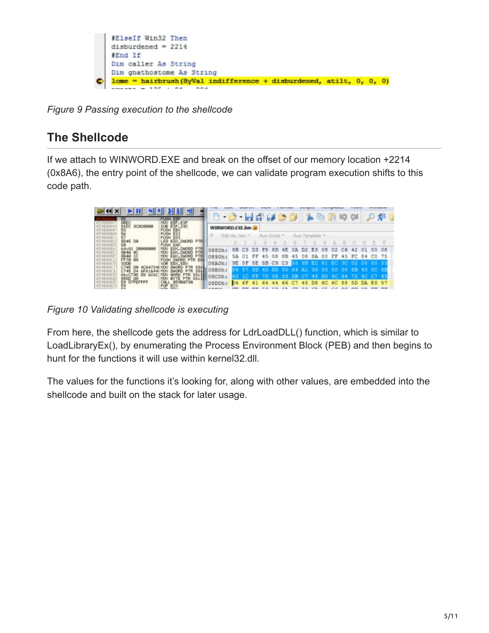

*Figure 9 Passing execution to the shellcode*

## **The Shellcode**

If we attach to WINWORD.EXE and break on the offset of our memory location +2214 (0x8A6), the entry point of the shellcode, we can validate program execution shifts to this code path.

| <b>REC</b>             |                                                      |                 |                | <b>HALL</b>                |    |    |                |  |    |              |           | * - 200                                        |                   |        |       |
|------------------------|------------------------------------------------------|-----------------|----------------|----------------------------|----|----|----------------|--|----|--------------|-----------|------------------------------------------------|-------------------|--------|-------|
|                        | <b>MOVI</b>                                          | WINWORD.EXE.bin |                |                            |    |    |                |  |    |              |           |                                                |                   |        |       |
| 종<br>8045 DB           | PUSH<br><b>PUSH</b><br>EDI                           |                 | Edit As: Hex." |                            |    |    | Run Script *   |  |    | Run Template |           |                                                |                   |        |       |
|                        | LEA EAX, DMORD PTR<br>PUSH EAK                       |                 |                |                            |    |    |                |  |    |              |           |                                                |                   |        |       |
|                        | ERK, DMORD<br><b>MOU</b>                             | 0880h:          |                | 8B C3 D3 F8                |    |    | 8D 4E 0A D2 E3 |  |    |              |           | 08 02 C6                                       | $-42$             | $-0.1$ | 00 08 |
| <b>開想</b>              | PTR<br>EAY, DUORD<br>HOU.                            | 0890hr          |                | 5A 01 FF 45 08 8B 45 08 8A |    |    |                |  |    |              |           | 00 FF 45 FC 84 C0 75                           |                   |        |       |
| Ø8<br>3906             | DWORD PTR DSE<br><b>PUSH</b><br><b>EBK, EBX</b>      | OBAOh:          |                |                            |    |    |                |  |    |              |           | 9E 5F 5E 5B C9 C3 55 8B EC 81 EC 3C 02 00 00 5 |                   |        |       |
|                        |                                                      | 08BOh:          |                |                            |    |    |                |  |    |              |           | 8D 45 DO 50 64 A1 30 00 00 00 8B 40 0C 8B      |                   |        |       |
| DA                     | $ss$ <sub>ill</sub><br><b>BYTE PTR</b><br><b>HOU</b> | 08COh:          |                |                            |    |    |                |  |    |              |           |                                                |                   |        |       |
| <b>SZFEFFFF</b><br>EB: | CALL 859B873A                                        | OBDOh:          |                | 6F                         | 61 | 64 |                |  | 45 | DB           | <b>6C</b> |                                                | 6C 88 5D DA E8 57 |        |       |
|                        | FOR ECX                                              |                 |                |                            |    |    |                |  |    |              |           |                                                |                   |        |       |

*Figure 10 Validating shellcode is executing*

From here, the shellcode gets the address for LdrLoadDLL() function, which is similar to LoadLibraryEx(), by enumerating the Process Environment Block (PEB) and then begins to hunt for the functions it will use within kernel32.dll.

The values for the functions it's looking for, along with other values, are embedded into the shellcode and built on the stack for later usage.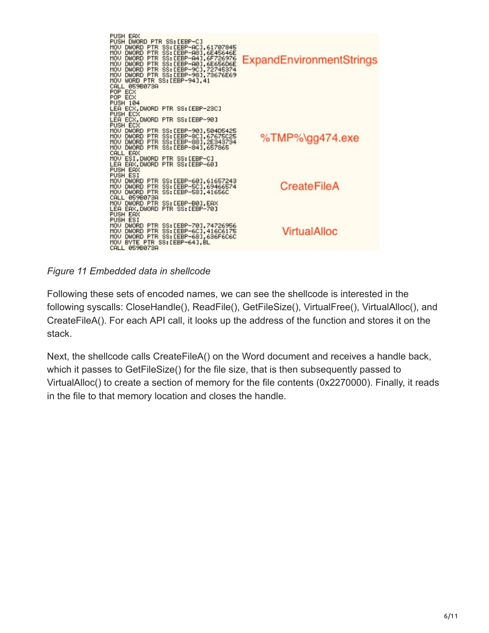

*Figure 11 Embedded data in shellcode*

Following these sets of encoded names, we can see the shellcode is interested in the following syscalls: CloseHandle(), ReadFile(), GetFileSize(), VirtualFree(), VirtualAlloc(), and CreateFileA(). For each API call, it looks up the address of the function and stores it on the stack.

Next, the shellcode calls CreateFileA() on the Word document and receives a handle back, which it passes to GetFileSize() for the file size, that is then subsequently passed to VirtualAlloc() to create a section of memory for the file contents (0x2270000). Finally, it reads in the file to that memory location and closes the handle.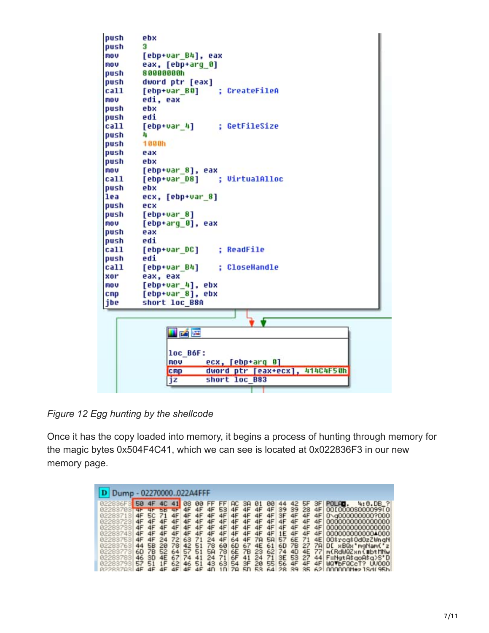

*Figure 12 Egg hunting by the shellcode*

Once it has the copy loaded into memory, it begins a process of hunting through memory for the magic bytes 0x504F4C41, which we can see is located at 0x022836F3 in our new memory page.

| 02270000022A4FFF<br><b>D</b> Dump                                                                        |                                        |                                                     |                                                           |                                              |                                              |                                  |                                  |                                         |                            |                                                       |                                               |                                               |                                                       |                                                    |                                                     |                                              |                                                                                                                                                                                          |
|----------------------------------------------------------------------------------------------------------|----------------------------------------|-----------------------------------------------------|-----------------------------------------------------------|----------------------------------------------|----------------------------------------------|----------------------------------|----------------------------------|-----------------------------------------|----------------------------|-------------------------------------------------------|-----------------------------------------------|-----------------------------------------------|-------------------------------------------------------|----------------------------------------------------|-----------------------------------------------------|----------------------------------------------|------------------------------------------------------------------------------------------------------------------------------------------------------------------------------------------|
|                                                                                                          |                                        |                                                     | 4C                                                        |                                              | 88                                           | 99                               | FF                               |                                         | нc                         | ЗA                                                    | 91                                            |                                               |                                                       |                                                    | Б۴                                                  |                                              | 4:0.06.7<br>POLHO.                                                                                                                                                                       |
| 82283703<br>02283713<br>02283723<br>02283733<br>02283743<br>02283753<br>02283763<br>82283773<br>02283783 | 4F<br>4F<br>4F<br>4F<br>44<br>60<br>46 | <b>SC</b><br>4F<br>4F<br>4F<br>4F<br>58<br>78<br>30 | <b>DD</b><br>71<br>4F<br>4F<br>4F<br>24<br>20<br>52<br>4E | 4F<br>4F<br>4F<br>4F<br>72<br>78<br>64<br>67 | 4F<br>4F<br>4F<br>4F<br>63<br>42<br>57<br>74 | 4F<br>4F<br>71<br>51<br>51<br>41 | 4F<br>4F<br>24<br>78<br>58<br>24 | 53.<br>4F<br>4F<br>4F<br>60<br>78<br>71 | 4F<br>4F<br>64<br>60<br>6F | 4F<br>4F<br>4F<br>4F<br>4F<br>4F<br>67<br>6E 7B<br>41 | 4F<br>4F<br>4F<br><b>78</b><br>4E<br>23<br>24 | 4F<br>4F<br>4F<br>4F<br><b>SA</b><br>61<br>71 | 39<br>ЗF<br>4F<br>4F<br>1E<br>57<br>6D<br>62 74<br>ЗE | 89<br>4F<br>4F<br>4F<br>4F<br>6E<br>7В<br>40<br>53 | 28<br>4F<br>4F<br>4F<br>4F<br>71<br>27<br>4E<br>-27 | 4F<br>4F<br>4F<br>4F<br>4F<br>4E<br>77<br>44 | 00E0000S000099(0)<br>0\g000000000?000<br>0000000000000000<br>0000000000000000<br>0000000000000000<br>00\$rcg\$0d0zZWngN<br>78 DE xBQx'maNamC'z<br>mCRdWQZxnC#btMNw<br>F=NatA\$goA\$g>S'D |
| 02283793                                                                                                 | 57<br>4F                               | 51<br>4F                                            | 1F<br>4F                                                  | 62<br>4F                                     | 46<br>4F                                     | 51<br>4F                         | 43<br>4 <sub>0</sub>             | 63<br>1 <sub>0</sub>                    | 54<br>70                   | 3F<br>5n                                              | 20<br>52                                      | 64                                            | 55 56                                                 | 4F<br>28 39 35                                     | 4F                                                  | 4F                                           | MQVbFQCcT? UU0001<br>$62$ 0000001 $+2$ 1846 956                                                                                                                                          |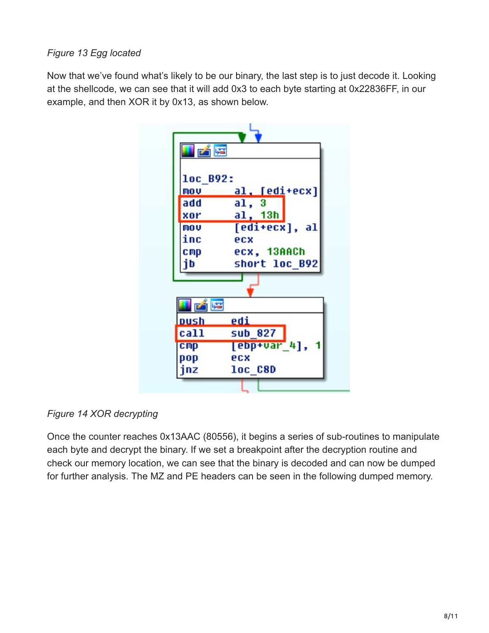#### *Figure 13 Egg located*

Now that we've found what's likely to be our binary, the last step is to just decode it. Looking at the shellcode, we can see that it will add 0x3 to each byte starting at 0x22836FF, in our example, and then XOR it by 0x13, as shown below.



*Figure 14 XOR decrypting*

Once the counter reaches 0x13AAC (80556), it begins a series of sub-routines to manipulate each byte and decrypt the binary. If we set a breakpoint after the decryption routine and check our memory location, we can see that the binary is decoded and can now be dumped for further analysis. The MZ and PE headers can be seen in the following dumped memory.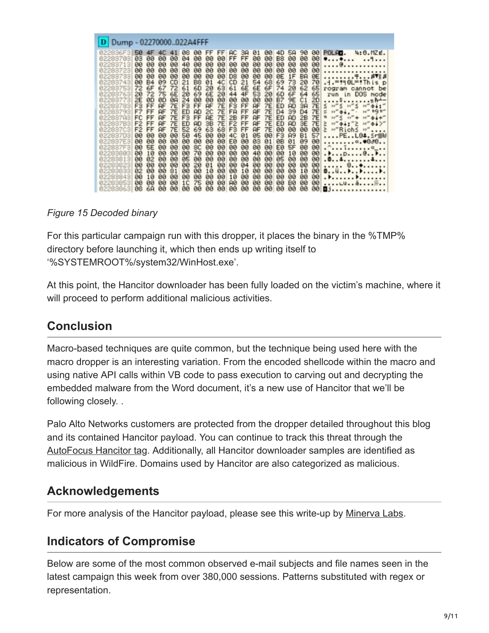| Dump - 02270000022A4FFF                                                                                                                                                                                                                                                                                                                                                                                                                                                                                                                                                                                                                                                                                                                                                                                                                                                                                                                                                                                                                                                                                                                                                                                                                                                              |                                                                                                                                                                                                                                                                                                                                                                                                                                                                                                                                                                                                                                                                                                                                                                                                                                                                                                                                                                                                                                                                                                                                                                                                                                                                                                                                                                                                                                                                                                                                                                                                                                                                                                                                                                                                                                                                                                                                                                                                                                                                                                                                                                                                                      |  |  |  |  |  |  |  |  |
|--------------------------------------------------------------------------------------------------------------------------------------------------------------------------------------------------------------------------------------------------------------------------------------------------------------------------------------------------------------------------------------------------------------------------------------------------------------------------------------------------------------------------------------------------------------------------------------------------------------------------------------------------------------------------------------------------------------------------------------------------------------------------------------------------------------------------------------------------------------------------------------------------------------------------------------------------------------------------------------------------------------------------------------------------------------------------------------------------------------------------------------------------------------------------------------------------------------------------------------------------------------------------------------|----------------------------------------------------------------------------------------------------------------------------------------------------------------------------------------------------------------------------------------------------------------------------------------------------------------------------------------------------------------------------------------------------------------------------------------------------------------------------------------------------------------------------------------------------------------------------------------------------------------------------------------------------------------------------------------------------------------------------------------------------------------------------------------------------------------------------------------------------------------------------------------------------------------------------------------------------------------------------------------------------------------------------------------------------------------------------------------------------------------------------------------------------------------------------------------------------------------------------------------------------------------------------------------------------------------------------------------------------------------------------------------------------------------------------------------------------------------------------------------------------------------------------------------------------------------------------------------------------------------------------------------------------------------------------------------------------------------------------------------------------------------------------------------------------------------------------------------------------------------------------------------------------------------------------------------------------------------------------------------------------------------------------------------------------------------------------------------------------------------------------------------------------------------------------------------------------------------------|--|--|--|--|--|--|--|--|
| 50<br>88<br>00<br>4F<br>022836531<br>4C<br>41<br>03<br>90<br>90<br>90<br>04<br>90<br>02283703<br>00<br>80<br>90<br>40<br>90<br>02283713<br>90<br>90<br>80<br>88<br>øø<br><b>DO</b><br>00<br>02283723<br>00<br>00<br>60<br>00<br>00<br>00<br>02283733<br>09<br>CD<br>B <sub>8</sub><br>00<br><b>B4</b><br>21<br>02283743<br>72<br>6F<br>67<br>72<br>61<br>60<br>02283753<br>72<br>6E<br>69<br>75<br>20<br>02283763<br>20<br>2E<br>90<br><b>BD</b><br>0A<br>24<br>90<br>02283773<br>F <sub>3</sub><br>7Ε<br>F <sub>3</sub><br>FF<br>RF<br>FF<br>02283783<br>F7<br>7Ε<br>FF<br>ED<br><b>AF</b><br><b>AD</b><br>02283793<br>F3<br>FF<br>FF<br>7Ε<br>FC<br><b>AF</b><br>02283783<br>7Ε<br>ED<br>F <sub>2</sub><br>FF<br><b>AF</b><br>AD<br>022837B3<br>52<br>F <sub>2</sub><br>FF<br><b>AF</b><br>7E<br>69<br>022837C3<br>50<br>45<br>00<br>80<br>90<br>90<br>02283703<br>022837E3<br>90<br>00<br>00<br>80<br>00<br>00<br><b>SE</b><br>022837F3<br>80<br>00<br>90<br>8C<br>00<br>10<br>80<br>90<br>70<br>00<br>90<br>02283803<br>85<br>00<br>02<br>60<br>00<br>00<br>02283813<br>00<br>00<br>90<br>00<br>00<br>20<br>02283823<br>02<br>00<br>80<br>81<br>80<br>90<br>02283833<br>10<br>80<br>00<br>00<br>00<br>00<br>02283843<br>75<br>00<br>1 <sup>C</sup><br>90<br>00<br>80<br>02283853 | <b>FF</b><br>FF.<br><b>AC</b><br>01<br>00<br><b>58</b><br>90<br>00<br>POLFO.<br>4D<br>4:0.MZE.<br>34<br>FF<br>FF<br>60<br>00<br>90<br>90<br>B <sub>8</sub><br>00<br>90<br>00<br>$YY$<br>.<br>00<br>00<br>00<br>90<br>00<br>90<br>80<br>99<br>80<br>00<br>. 0.<br>80<br>88<br>øø<br>80<br><b>DO</b><br>00<br>øø<br><b>ØØ</b><br>80<br>00<br><br>ØE<br>90<br>D <sub>8</sub><br>00<br>00<br><b>ØE</b><br>1F<br><b>BA</b><br>00<br>00<br>7N<br>CD<br>54<br>68<br>69<br>73<br>70<br>4C<br>21<br>20<br>81<br>.i.=fi@L=fThisp<br>6E<br>6F<br>6E<br>62<br>20<br>63<br>61<br>74<br>20<br>65<br>rogram cannot be<br>6E<br>53<br>4F<br>6D<br>6F<br>65<br>20<br>64<br>20<br>44<br>run in DOS mode<br>00<br>00<br>00<br>B7<br>80<br>00<br>00<br>9E<br>20<br>C <sub>1</sub><br>. \$<br>$\cdot$ n A<br>RF<br>F3<br>$10^{10} \leq 11^{10} \leq$<br>7Ε<br>FF<br><b>AF</b><br>7Ε<br>ED<br><b>AD</b><br>7Е<br>$10-10$<br>3A<br>s<br>041"<br>$80^{40}$<br>7E<br>$10''$ $04.$<br>tQt''<br>2C<br>FA<br>FF<br><b>AF</b><br>7E<br>7E<br>$H_{\alpha}$<br>D <sub>4</sub><br>39<br>D4<br>笫<br>RE<br>7E<br>2B<br>FF<br><b>AF</b><br>7Ε<br>7E<br>w<br>$10''''$ $6''$ $40''$ $+$<br>$35^{40}$<br>ED<br><b>AD</b><br>2B<br>$0.1 +$ <sup>-1</sup><br>F <sub>2</sub><br>7E<br>FF<br>$35''$ $\Phi$ $\phi$ $>$<br>3B<br><b>AF</b><br><b>7E</b><br>ED<br>3E<br>7Ε<br>Σ<br>$15 - 9 + 1 - 5$<br><b>AD</b><br>F <sub>3</sub><br>FF<br>$\geq$ "Richs"<br>63<br>68<br><b>AF</b><br>7E<br>00<br>00<br>00<br>00<br>F <sub>3</sub><br>57<br>05<br>80<br>00<br>4C<br>01<br>90<br>A9<br><b>B1</b><br>$\ldots$ .PE $\ldots$ L04.Sr@W<br>EØ<br>00<br>03<br>01<br>0B<br>09<br>90<br>01<br>80<br>00<br>. «. <b>*</b> 888. .<br>88<br>EØ<br><b>SF</b><br>00<br>00<br>80<br>00<br>80<br>00<br>00<br>80<br>80<br>40<br>00<br>00<br>10<br>00<br>00<br>80<br>00<br>. p.<br>85<br>88<br>80<br>00<br>00<br>00<br>00<br>00<br>00<br>90<br>. 0. . 4. 4.<br>80<br>00<br>00<br>00<br>00<br>01<br>00<br>04<br>90<br>00<br>.     0. . <b>0.</b><br>10<br>80<br>10<br>80<br>00<br>00<br>10<br>98<br>90<br>00<br>001<br>00<br>00<br>90<br>00<br>10<br>00<br>00<br>00<br>90<br>00<br>. <del>.</del><br>00<br>00<br>00<br>90<br>00<br>00<br>B <sub>8</sub><br>90<br>A0<br>00<br>. L. 8. |  |  |  |  |  |  |  |  |
| 6A<br>08<br>80<br>90<br>80<br>00                                                                                                                                                                                                                                                                                                                                                                                                                                                                                                                                                                                                                                                                                                                                                                                                                                                                                                                                                                                                                                                                                                                                                                                                                                                     | 80<br>80<br>80<br>90<br>80<br>00<br>80<br>99<br>90<br>00<br>03.                                                                                                                                                                                                                                                                                                                                                                                                                                                                                                                                                                                                                                                                                                                                                                                                                                                                                                                                                                                                                                                                                                                                                                                                                                                                                                                                                                                                                                                                                                                                                                                                                                                                                                                                                                                                                                                                                                                                                                                                                                                                                                                                                      |  |  |  |  |  |  |  |  |

#### *Figure 15 Decoded binary*

For this particular campaign run with this dropper, it places the binary in the %TMP% directory before launching it, which then ends up writing itself to '%SYSTEMROOT%/system32/WinHost.exe'.

At this point, the Hancitor downloader has been fully loaded on the victim's machine, where it will proceed to perform additional malicious activities.

## **Conclusion**

Macro-based techniques are quite common, but the technique being used here with the macro dropper is an interesting variation. From the encoded shellcode within the macro and using native API calls within VB code to pass execution to carving out and decrypting the embedded malware from the Word document, it's a new use of Hancitor that we'll be following closely. .

Palo Alto Networks customers are protected from the dropper detailed throughout this blog and its contained Hancitor payload. You can continue to track this threat through the [AutoFocus Hancitor tag](https://autofocus.paloaltonetworks.com/#/tag/Unit42.Hancitor). Additionally, all Hancitor downloader samples are identified as malicious in WildFire. Domains used by Hancitor are also categorized as malicious.

### **Acknowledgements**

For more analysis of the Hancitor payload, please see this write-up by [Minerva Labs.](http://www.minerva-labs.com/post/new-hancitor-pimp-my-downloader)

## **Indicators of Compromise**

Below are some of the most common observed e-mail subjects and file names seen in the latest campaign this week from over 380,000 sessions. Patterns substituted with regex or representation.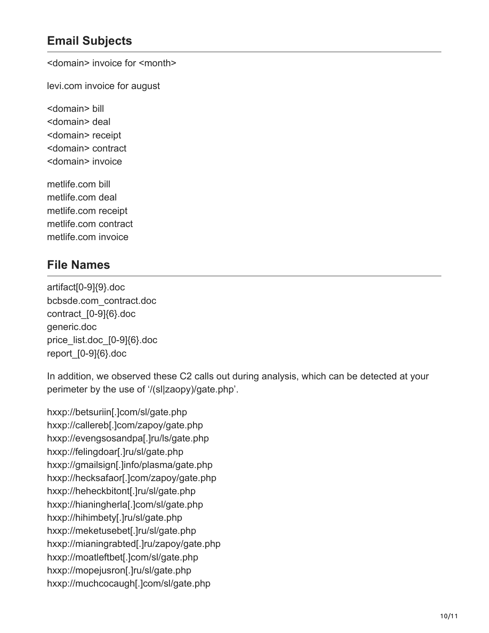## **Email Subjects**

<domain> invoice for <month>

levi.com invoice for august

<domain> bill <domain> deal <domain> receipt <domain> contract <domain> invoice

metlife.com bill metlife.com deal metlife.com receipt metlife.com contract metlife.com invoice

## **File Names**

artifact[0-9]{9}.doc bcbsde.com\_contract.doc contract [0-9]{6}.doc generic.doc price\_list.doc\_[0-9]{6}.doc report\_[0-9]{6}.doc

In addition, we observed these C2 calls out during analysis, which can be detected at your perimeter by the use of '/(sl|zaopy)/gate.php'.

hxxp://betsuriin[.]com/sl/gate.php hxxp://callereb[.]com/zapoy/gate.php hxxp://evengsosandpa[.]ru/ls/gate.php hxxp://felingdoar[.]ru/sl/gate.php hxxp://gmailsign[.]info/plasma/gate.php hxxp://hecksafaor[.]com/zapoy/gate.php hxxp://heheckbitont[.]ru/sl/gate.php hxxp://hianingherla[.]com/sl/gate.php hxxp://hihimbety[.]ru/sl/gate.php hxxp://meketusebet[.]ru/sl/gate.php hxxp://mianingrabted[.]ru/zapoy/gate.php hxxp://moatleftbet[.]com/sl/gate.php hxxp://mopejusron[.]ru/sl/gate.php hxxp://muchcocaugh[.]com/sl/gate.php